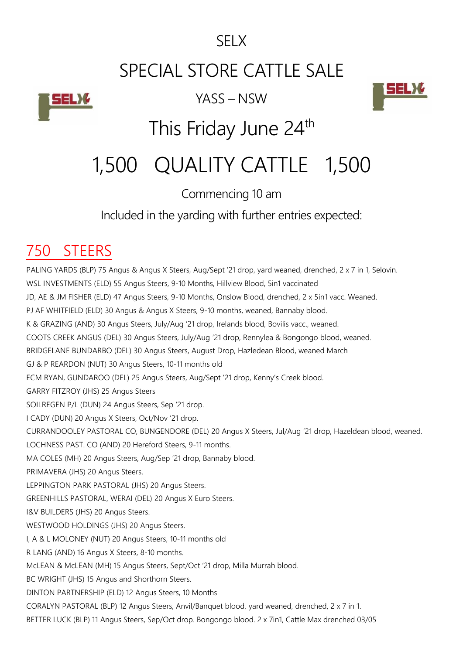#### SELX

# SPECIAL STORE CATTLE SALE



YASS – NSW



# This Friday June 24<sup>th</sup>

# 1,500 QUALITY CATTLE 1,500

#### Commencing 10 am

Included in the yarding with further entries expected:

#### 750 STEERS

PALING YARDS (BLP) 75 Angus & Angus X Steers, Aug/Sept '21 drop, yard weaned, drenched, 2 x 7 in 1, Selovin. WSL INVESTMENTS (ELD) 55 Angus Steers, 9-10 Months, Hillview Blood, 5in1 vaccinated JD, AE & JM FISHER (ELD) 47 Angus Steers, 9-10 Months, Onslow Blood, drenched, 2 x 5in1 vacc. Weaned. PJ AF WHITFIELD (ELD) 30 Angus & Angus X Steers, 9-10 months, weaned, Bannaby blood. K & GRAZING (AND) 30 Angus Steers, July/Aug '21 drop, Irelands blood, Bovilis vacc., weaned. COOTS CREEK ANGUS (DEL) 30 Angus Steers, July/Aug '21 drop, Rennylea & Bongongo blood, weaned. BRIDGELANE BUNDARBO (DEL) 30 Angus Steers, August Drop, Hazledean Blood, weaned March GJ & P REARDON (NUT) 30 Angus Steers, 10-11 months old ECM RYAN, GUNDAROO (DEL) 25 Angus Steers, Aug/Sept '21 drop, Kenny's Creek blood. GARRY FITZROY (JHS) 25 Angus Steers SOILREGEN P/L (DUN) 24 Angus Steers, Sep '21 drop. I CADY (DUN) 20 Angus X Steers, Oct/Nov '21 drop. CURRANDOOLEY PASTORAL CO, BUNGENDORE (DEL) 20 Angus X Steers, Jul/Aug '21 drop, Hazeldean blood, weaned. LOCHNESS PAST. CO (AND) 20 Hereford Steers, 9-11 months. MA COLES (MH) 20 Angus Steers, Aug/Sep '21 drop, Bannaby blood. PRIMAVERA (JHS) 20 Angus Steers. LEPPINGTON PARK PASTORAL (JHS) 20 Angus Steers. GREENHILLS PASTORAL, WERAI (DEL) 20 Angus X Euro Steers. I&V BUILDERS (JHS) 20 Angus Steers. WESTWOOD HOLDINGS (JHS) 20 Angus Steers. I, A & L MOLONEY (NUT) 20 Angus Steers, 10-11 months old R LANG (AND) 16 Angus X Steers, 8-10 months. McLEAN & McLEAN (MH) 15 Angus Steers, Sept/Oct '21 drop, Milla Murrah blood. BC WRIGHT (JHS) 15 Angus and Shorthorn Steers. DINTON PARTNERSHIP (ELD) 12 Angus Steers, 10 Months CORALYN PASTORAL (BLP) 12 Angus Steers, Anvil/Banquet blood, yard weaned, drenched, 2 x 7 in 1. BETTER LUCK (BLP) 11 Angus Steers, Sep/Oct drop. Bongongo blood. 2 x 7in1, Cattle Max drenched 03/05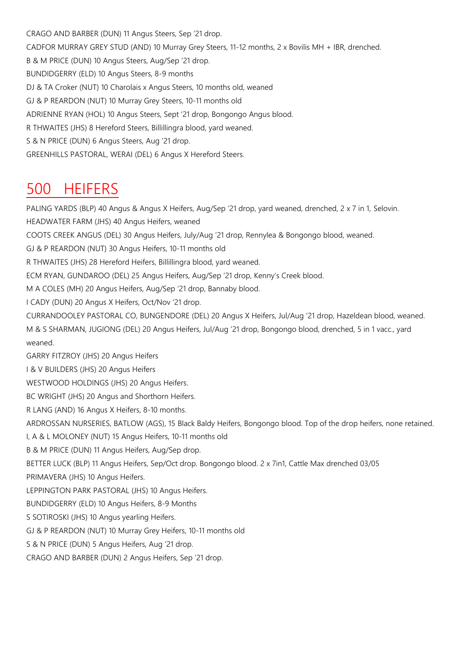CRAGO AND BARBER (DUN) 11 Angus Steers, Sep '21 drop. CADFOR MURRAY GREY STUD (AND) 10 Murray Grey Steers, 11-12 months, 2 x Bovilis MH + IBR, drenched. B & M PRICE (DUN) 10 Angus Steers, Aug/Sep '21 drop. BUNDIDGERRY (ELD) 10 Angus Steers, 8-9 months DJ & TA Croker (NUT) 10 Charolais x Angus Steers, 10 months old, weaned GJ & P REARDON (NUT) 10 Murray Grey Steers, 10-11 months old ADRIENNE RYAN (HOL) 10 Angus Steers, Sept '21 drop, Bongongo Angus blood. R THWAITES (JHS) 8 Hereford Steers, Billillingra blood, yard weaned. S & N PRICE (DUN) 6 Angus Steers, Aug '21 drop. GREENHILLS PASTORAL, WERAI (DEL) 6 Angus X Hereford Steers.

#### 500 HEIFERS

PALING YARDS (BLP) 40 Angus & Angus X Heifers, Aug/Sep '21 drop, yard weaned, drenched, 2 x 7 in 1, Selovin. HEADWATER FARM (JHS) 40 Angus Heifers, weaned COOTS CREEK ANGUS (DEL) 30 Angus Heifers, July/Aug '21 drop, Rennylea & Bongongo blood, weaned. GJ & P REARDON (NUT) 30 Angus Heifers, 10-11 months old R THWAITES (JHS) 28 Hereford Heifers, Billillingra blood, yard weaned. ECM RYAN, GUNDAROO (DEL) 25 Angus Heifers, Aug/Sep '21 drop, Kenny's Creek blood. M A COLES (MH) 20 Angus Heifers, Aug/Sep '21 drop, Bannaby blood. I CADY (DUN) 20 Angus X Heifers, Oct/Nov '21 drop. CURRANDOOLEY PASTORAL CO, BUNGENDORE (DEL) 20 Angus X Heifers, Jul/Aug '21 drop, Hazeldean blood, weaned. M & S SHARMAN, JUGIONG (DEL) 20 Angus Heifers, Jul/Aug '21 drop, Bongongo blood, drenched, 5 in 1 vacc., yard weaned. GARRY FITZROY (JHS) 20 Angus Heifers I & V BUILDERS (JHS) 20 Angus Heifers WESTWOOD HOLDINGS (JHS) 20 Angus Heifers. BC WRIGHT (JHS) 20 Angus and Shorthorn Heifers. R LANG (AND) 16 Angus X Heifers, 8-10 months. ARDROSSAN NURSERIES, BATLOW (AGS), 15 Black Baldy Heifers, Bongongo blood. Top of the drop heifers, none retained. I, A & L MOLONEY (NUT) 15 Angus Heifers, 10-11 months old B & M PRICE (DUN) 11 Angus Heifers, Aug/Sep drop. BETTER LUCK (BLP) 11 Angus Heifers, Sep/Oct drop. Bongongo blood. 2 x 7in1, Cattle Max drenched 03/05 PRIMAVERA (JHS) 10 Angus Heifers. LEPPINGTON PARK PASTORAL (JHS) 10 Angus Heifers. BUNDIDGERRY (ELD) 10 Angus Heifers, 8-9 Months S SOTIROSKI (JHS) 10 Angus yearling Heifers. GJ & P REARDON (NUT) 10 Murray Grey Heifers, 10-11 months old S & N PRICE (DUN) 5 Angus Heifers, Aug '21 drop. CRAGO AND BARBER (DUN) 2 Angus Heifers, Sep '21 drop.